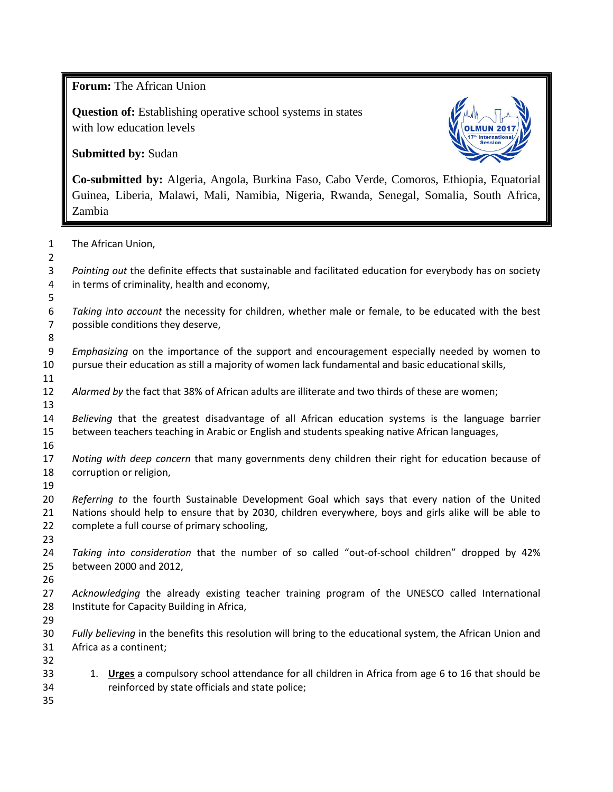**Forum:** The African Union

**Question of:** Establishing operative school systems in states with low education levels

**Submitted by:** Sudan



**Co-submitted by:** Algeria, Angola, Burkina Faso, Cabo Verde, Comoros, Ethiopia, Equatorial Guinea, Liberia, Malawi, Mali, Namibia, Nigeria, Rwanda, Senegal, Somalia, South Africa, Zambia

| $\mathbf{1}$        | The African Union,                                                                                                                                    |
|---------------------|-------------------------------------------------------------------------------------------------------------------------------------------------------|
| $\overline{2}$<br>3 | Pointing out the definite effects that sustainable and facilitated education for everybody has on society                                             |
| 4                   | in terms of criminality, health and economy,                                                                                                          |
| 5                   |                                                                                                                                                       |
| 6<br>$\overline{7}$ | Taking into account the necessity for children, whether male or female, to be educated with the best<br>possible conditions they deserve,             |
| 8                   |                                                                                                                                                       |
| 9                   | Emphasizing on the importance of the support and encouragement especially needed by women to                                                          |
| 10                  | pursue their education as still a majority of women lack fundamental and basic educational skills,                                                    |
| 11                  |                                                                                                                                                       |
| 12                  | Alarmed by the fact that 38% of African adults are illiterate and two thirds of these are women;                                                      |
| 13                  |                                                                                                                                                       |
| 14                  | Believing that the greatest disadvantage of all African education systems is the language barrier                                                     |
| 15                  | between teachers teaching in Arabic or English and students speaking native African languages,                                                        |
| 16                  |                                                                                                                                                       |
| 17                  | Noting with deep concern that many governments deny children their right for education because of                                                     |
| 18                  | corruption or religion,                                                                                                                               |
| 19<br>20            | Referring to the fourth Sustainable Development Goal which says that every nation of the United                                                       |
| 21                  | Nations should help to ensure that by 2030, children everywhere, boys and girls alike will be able to                                                 |
| 22                  | complete a full course of primary schooling,                                                                                                          |
| 23                  |                                                                                                                                                       |
| 24                  | Taking into consideration that the number of so called "out-of-school children" dropped by 42%                                                        |
| 25                  | between 2000 and 2012,                                                                                                                                |
| 26                  |                                                                                                                                                       |
| 27                  | Acknowledging the already existing teacher training program of the UNESCO called International                                                        |
| 28                  | Institute for Capacity Building in Africa,                                                                                                            |
| 29                  |                                                                                                                                                       |
| 30                  | Fully believing in the benefits this resolution will bring to the educational system, the African Union and                                           |
| 31                  | Africa as a continent;                                                                                                                                |
| 32                  |                                                                                                                                                       |
| 33<br>34            | 1. Urges a compulsory school attendance for all children in Africa from age 6 to 16 that should be<br>reinforced by state officials and state police; |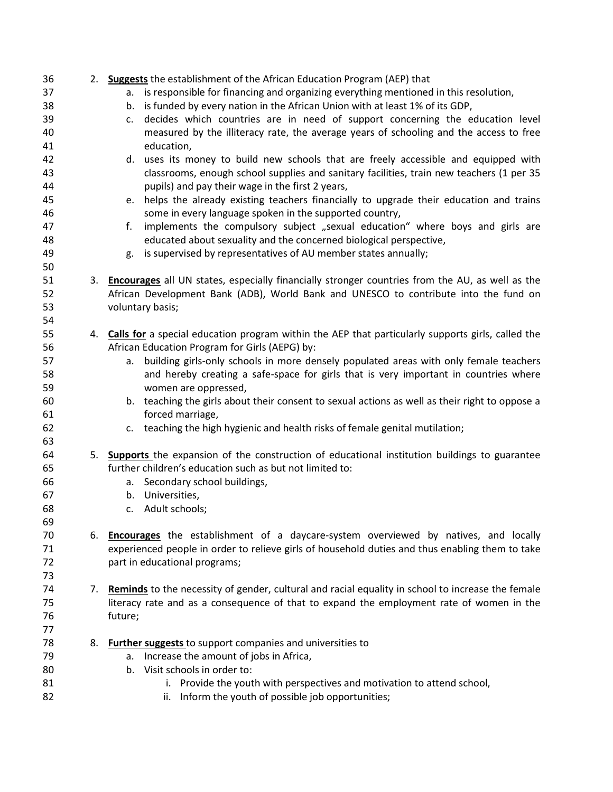| 36 |    | 2. Suggests the establishment of the African Education Program (AEP) that                            |
|----|----|------------------------------------------------------------------------------------------------------|
| 37 |    | a. is responsible for financing and organizing everything mentioned in this resolution,              |
| 38 |    | b. is funded by every nation in the African Union with at least 1% of its GDP,                       |
| 39 |    | decides which countries are in need of support concerning the education level<br>c.                  |
| 40 |    | measured by the illiteracy rate, the average years of schooling and the access to free               |
| 41 |    | education,                                                                                           |
| 42 |    | d. uses its money to build new schools that are freely accessible and equipped with                  |
| 43 |    | classrooms, enough school supplies and sanitary facilities, train new teachers (1 per 35             |
| 44 |    | pupils) and pay their wage in the first 2 years,                                                     |
| 45 |    | e. helps the already existing teachers financially to upgrade their education and trains             |
| 46 |    | some in every language spoken in the supported country,                                              |
| 47 |    | implements the compulsory subject "sexual education" where boys and girls are<br>f.                  |
| 48 |    | educated about sexuality and the concerned biological perspective,                                   |
| 49 |    | is supervised by representatives of AU member states annually;<br>g.                                 |
| 50 |    |                                                                                                      |
| 51 |    | 3. Encourages all UN states, especially financially stronger countries from the AU, as well as the   |
| 52 |    | African Development Bank (ADB), World Bank and UNESCO to contribute into the fund on                 |
| 53 |    | voluntary basis;                                                                                     |
| 54 |    |                                                                                                      |
| 55 |    | 4. Calls for a special education program within the AEP that particularly supports girls, called the |
| 56 |    | African Education Program for Girls (AEPG) by:                                                       |
| 57 |    | building girls-only schools in more densely populated areas with only female teachers<br>a.          |
| 58 |    | and hereby creating a safe-space for girls that is very important in countries where                 |
| 59 |    | women are oppressed,                                                                                 |
| 60 |    | b. teaching the girls about their consent to sexual actions as well as their right to oppose a       |
| 61 |    | forced marriage,                                                                                     |
| 62 |    | c. teaching the high hygienic and health risks of female genital mutilation;                         |
| 63 |    |                                                                                                      |
| 64 |    | 5. Supports the expansion of the construction of educational institution buildings to guarantee      |
| 65 |    | further children's education such as but not limited to:                                             |
| 66 |    | Secondary school buildings,<br>а.                                                                    |
| 67 |    | b. Universities,                                                                                     |
| 68 |    | c. Adult schools;                                                                                    |
| 69 |    |                                                                                                      |
| 70 |    | 6. <b>Encourages</b> the establishment of a daycare-system overviewed by natives, and locally        |
| 71 |    | experienced people in order to relieve girls of household duties and thus enabling them to take      |
| 72 |    | part in educational programs;                                                                        |
| 73 |    |                                                                                                      |
| 74 | 7. | Reminds to the necessity of gender, cultural and racial equality in school to increase the female    |
| 75 |    | literacy rate and as a consequence of that to expand the employment rate of women in the             |
| 76 |    | future;                                                                                              |
| 77 |    |                                                                                                      |
| 78 |    | 8. <b>Further suggests</b> to support companies and universities to                                  |
| 79 |    | Increase the amount of jobs in Africa,<br>a.                                                         |
| 80 |    | b. Visit schools in order to:                                                                        |
| 81 |    | i. Provide the youth with perspectives and motivation to attend school,                              |
| 82 |    | Inform the youth of possible job opportunities;<br>ii.                                               |
|    |    |                                                                                                      |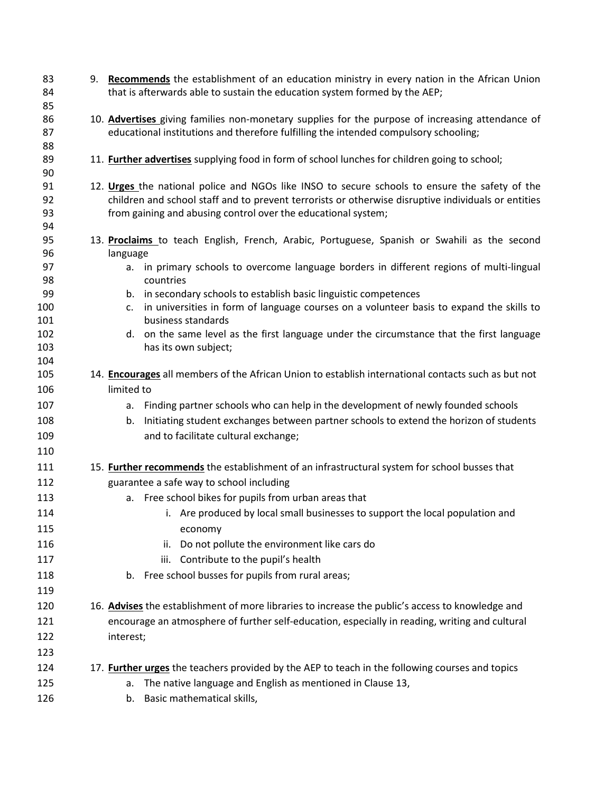| 83<br>84 | 9. Recommends the establishment of an education ministry in every nation in the African Union<br>that is afterwards able to sustain the education system formed by the AEP; |
|----------|-----------------------------------------------------------------------------------------------------------------------------------------------------------------------------|
| 85       |                                                                                                                                                                             |
| 86       | 10. Advertises giving families non-monetary supplies for the purpose of increasing attendance of                                                                            |
| 87       | educational institutions and therefore fulfilling the intended compulsory schooling;                                                                                        |
| 88       |                                                                                                                                                                             |
| 89<br>90 | 11. <b>Further advertises</b> supplying food in form of school lunches for children going to school;                                                                        |
| 91       | 12. Urges the national police and NGOs like INSO to secure schools to ensure the safety of the                                                                              |
| 92       | children and school staff and to prevent terrorists or otherwise disruptive individuals or entities                                                                         |
| 93       | from gaining and abusing control over the educational system;                                                                                                               |
| 94       |                                                                                                                                                                             |
| 95<br>96 | 13. Proclaims to teach English, French, Arabic, Portuguese, Spanish or Swahili as the second<br>language                                                                    |
| 97       | in primary schools to overcome language borders in different regions of multi-lingual<br>a.                                                                                 |
| 98       | countries                                                                                                                                                                   |
| 99       | b. in secondary schools to establish basic linguistic competences                                                                                                           |
| 100      | in universities in form of language courses on a volunteer basis to expand the skills to<br>c.                                                                              |
| 101      | business standards                                                                                                                                                          |
| 102      | d. on the same level as the first language under the circumstance that the first language                                                                                   |
| 103      | has its own subject;                                                                                                                                                        |
| 104      |                                                                                                                                                                             |
| 105      | 14. <b>Encourages</b> all members of the African Union to establish international contacts such as but not                                                                  |
| 106      | limited to                                                                                                                                                                  |
| 107      | a. Finding partner schools who can help in the development of newly founded schools                                                                                         |
| 108      | Initiating student exchanges between partner schools to extend the horizon of students<br>b.                                                                                |
| 109      | and to facilitate cultural exchange;                                                                                                                                        |
| 110      |                                                                                                                                                                             |
| 111      | 15. <b>Further recommends</b> the establishment of an infrastructural system for school busses that                                                                         |
| 112      | guarantee a safe way to school including                                                                                                                                    |
| 113      | a. Free school bikes for pupils from urban areas that                                                                                                                       |
| 114      | i. Are produced by local small businesses to support the local population and                                                                                               |
| 115      | economy                                                                                                                                                                     |
| 116      | Do not pollute the environment like cars do<br>ii.                                                                                                                          |
| 117      | iii. Contribute to the pupil's health                                                                                                                                       |
| 118      | b. Free school busses for pupils from rural areas;                                                                                                                          |
|          |                                                                                                                                                                             |
| 119      |                                                                                                                                                                             |
| 120      | 16. Advises the establishment of more libraries to increase the public's access to knowledge and                                                                            |
| 121      | encourage an atmosphere of further self-education, especially in reading, writing and cultural                                                                              |
| 122      | interest;                                                                                                                                                                   |
| 123      |                                                                                                                                                                             |
| 124      | 17. <b>Further urges</b> the teachers provided by the AEP to teach in the following courses and topics                                                                      |
| 125      | The native language and English as mentioned in Clause 13,<br>а.                                                                                                            |
| 126      | Basic mathematical skills,<br>b.                                                                                                                                            |